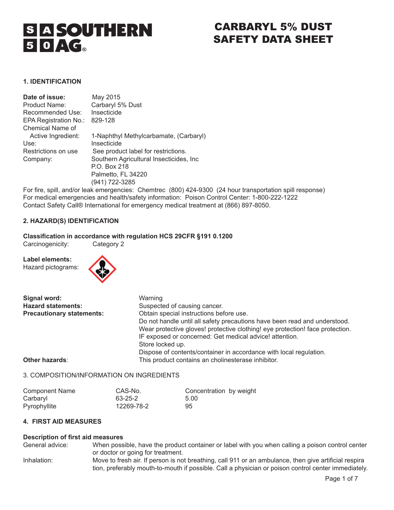

# CARBARYL 5% DUST SAFETY DATA SHEET

## **1. IDENTIFICATION**

| Date of issue:        | May 2015                                 |
|-----------------------|------------------------------------------|
| Product Name:         | Carbaryl 5% Dust                         |
| Recommended Use:      | Insecticide                              |
| EPA Registration No.: | 829-128                                  |
| Chemical Name of      |                                          |
| Active Ingredient:    | 1-Naphthyl Methylcarbamate, (Carbaryl)   |
| Use:                  | Insecticide                              |
| Restrictions on use   | See product label for restrictions.      |
| Company:              | Southern Agricultural Insecticides, Inc. |
|                       | P.O. Box 218                             |
|                       | Palmetto, FL 34220                       |
|                       | (941) 722-3285                           |

For fire, spill, and/or leak emergencies: Chemtrec (800) 424-9300 (24 hour transportation spill response) For medical emergencies and health/safety information: Poison Control Center: 1-800-222-1222 Contact Safety Call® International for emergency medical treatment at (866) 897-8050.

# **2. HAZARD(S) IDENTIFICATION**

# **Classification in accordance with regulation HCS 29CFR §191 0.1200**

Carcinogenicity:

**Label elements:**  Hazard pictograms:



| Signal word:                     | Warning                                                                       |
|----------------------------------|-------------------------------------------------------------------------------|
| <b>Hazard statements:</b>        | Suspected of causing cancer.                                                  |
| <b>Precautionary statements:</b> | Obtain special instructions before use.                                       |
|                                  | Do not handle until all safety precautions have been read and understood.     |
|                                  | Wear protective gloves! protective clothing! eye protection! face protection. |
|                                  | IF exposed or concerned: Get medical advice! attention.                       |
|                                  | Store locked up.                                                              |
|                                  | Dispose of contents/container in accordance with local regulation.            |
| Other hazards:                   | This product contains an cholinesterase inhibitor.                            |

## 3. COMPOSITION/INFORMATION ON INGREDIENTS

| <b>Component Name</b> | CAS-No.    | Concentration by weight |  |
|-----------------------|------------|-------------------------|--|
| Carbaryl              | 63-25-2    | 5.00                    |  |
| Pyrophyllite          | 12269-78-2 | 95                      |  |

# **4. FIRST AID MEASURES**

# **Description of first aid measures**<br>
General advice: When poss

When possible, have the product container or label with you when calling a poison control center or doctor or going for treatment. Inhalation: Move to fresh air. If person is not breathing, call 911 or an ambulance, then give artificial respira tion, preferably mouth-to-mouth if possible. Call a physician or poison control center immediately.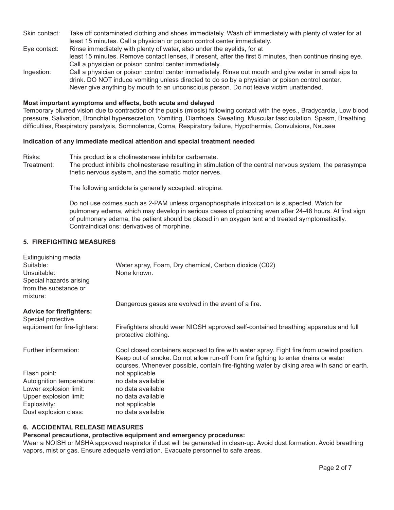- Skin contact: Take off contaminated clothing and shoes immediately. Wash off immediately with plenty of water for at least 15 minutes. Call a physician or poison control center immediately.
- Eye contact: Rinse immediately with plenty of water, also under the eyelids, for at least 15 minutes. Remove contact lenses, if present, after the first 5 minutes, then continue rinsing eye. Call a physician or poison control center immediately.
- Ingestion: Call a physician or poison control center immediately. Rinse out mouth and give water in small sips to drink. DO NOT induce vomiting unless directed to do so by a physician or poison control center. Never give anything by mouth to an unconscious person. Do not leave victim unattended.

#### **Most important symptoms and effects, both acute and delayed**

Temporary blurred vision due to contraction of the pupils (miosis) following contact with the eyes., Bradycardia, Low blood pressure, Salivation, Bronchial hypersecretion, Vomiting, Diarrhoea, Sweating, Muscular fasciculation, Spasm, Breathing difficulties, Respiratory paralysis, Somnolence, Coma, Respiratory failure, Hypothermia, Convulsions, Nausea

# **Indication of any immediate medical attention and special treatment needed**

- Risks: This product is a cholinesterase inhibitor carbamate.
- Treatment: The product inhibits cholinesterase resulting in stimulation of the central nervous system, the parasympa thetic nervous system, and the somatic motor nerves.

The following antidote is generally accepted: atropine.

Do not use oximes such as 2-PAM unless organophosphate intoxication is suspected. Watch for pulmonary edema, which may develop in serious cases of poisoning even after 24-48 hours. At first sign of pulmonary edema, the patient should be placed in an oxygen tent and treated symptomatically. Contraindications: derivatives of morphine.

# **5. FIREFIGHTING MEASURES**

| Extinguishing media             |                                                                                                             |
|---------------------------------|-------------------------------------------------------------------------------------------------------------|
| Suitable:                       | Water spray, Foam, Dry chemical, Carbon dioxide (C02)                                                       |
| Unsuitable:                     | None known.                                                                                                 |
| Special hazards arising         |                                                                                                             |
| from the substance or           |                                                                                                             |
| mixture:                        |                                                                                                             |
|                                 | Dangerous gases are evolved in the event of a fire.                                                         |
| <b>Advice for firefighters:</b> |                                                                                                             |
| Special protective              |                                                                                                             |
| equipment for fire-fighters:    | Firefighters should wear NIOSH approved self-contained breathing apparatus and full<br>protective clothing. |
| Further information:            | Cool closed containers exposed to fire with water spray. Fight fire from upwind position.                   |
|                                 | Keep out of smoke. Do not allow run-off from fire fighting to enter drains or water                         |
|                                 | courses. Whenever possible, contain fire-fighting water by diking area with sand or earth.                  |
| Flash point:                    | not applicable                                                                                              |
| Autoignition temperature:       | no data available                                                                                           |
| Lower explosion limit:          | no data available                                                                                           |
| Upper explosion limit:          | no data available                                                                                           |
| Explosivity:                    | not applicable                                                                                              |
| Dust explosion class:           | no data available                                                                                           |

# **6. ACCIDENTAL RELEASE MEASURES**

### **Personal precautions, protective equipment and emergency procedures:**

Wear a NOISH or MSHA approved respirator if dust will be generated in clean-up. Avoid dust formation. Avoid breathing vapors, mist or gas. Ensure adequate ventilation. Evacuate personnel to safe areas.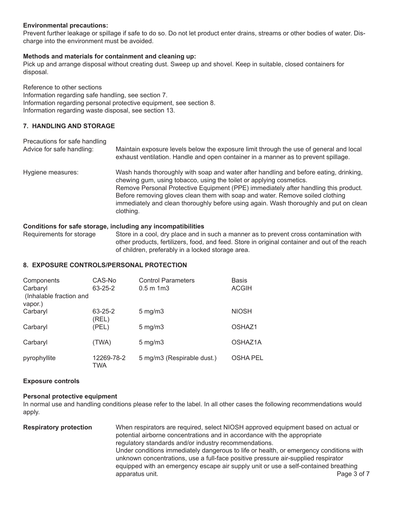# **Environmental precautions:**

Prevent further leakage or spillage if safe to do so. Do not let product enter drains, streams or other bodies of water. Discharge into the environment must be avoided.

# **Methods and materials for containment and cleaning up:**

Pick up and arrange disposal without creating dust. Sweep up and shovel. Keep in suitable, closed containers for disposal.

Reference to other sections Information regarding safe handling, see section 7. Information regarding personal protective equipment, see section 8. Information regarding waste disposal, see section 13.

# **7. HANDLING AND STORAGE**

| Precautions for safe handling | Maintain exposure levels below the exposure limit through the use of general and local                                                                                                                                                                                                                                                                                                                                                     |
|-------------------------------|--------------------------------------------------------------------------------------------------------------------------------------------------------------------------------------------------------------------------------------------------------------------------------------------------------------------------------------------------------------------------------------------------------------------------------------------|
| Advice for safe handling:     | exhaust ventilation. Handle and open container in a manner as to prevent spillage.                                                                                                                                                                                                                                                                                                                                                         |
| Hygiene measures:             | Wash hands thoroughly with soap and water after handling and before eating, drinking,<br>chewing gum, using tobacco, using the toilet or applying cosmetics.<br>Remove Personal Protective Equipment (PPE) immediately after handling this product.<br>Before removing gloves clean them with soap and water. Remove soiled clothing<br>immediately and clean thoroughly before using again. Wash thoroughly and put on clean<br>clothing. |

# **Conditions for safe storage, including any incompatibilities**

Requirements for storage Store in a cool, dry place and in such a manner as to prevent cross contamination with other products, fertilizers, food, and feed. Store in original container and out of the reach of children, preferably in a locked storage area.

# **8. EXPOSURE CONTROLS/PERSONAL PROTECTION**

| Components<br>Carbaryl<br>(Inhalable fraction and | CAS-No<br>$63 - 25 - 2$ | <b>Control Parameters</b><br>$0.5 \text{ m}$ 1 m $3$ | <b>Basis</b><br><b>ACGIH</b> |
|---------------------------------------------------|-------------------------|------------------------------------------------------|------------------------------|
| vapor.)                                           |                         |                                                      |                              |
| Carbaryl                                          | 63-25-2<br>(REL)        | $5 \text{ mg/m}$                                     | <b>NIOSH</b>                 |
| Carbaryl                                          | (PEL)                   | $5 \text{ mg/m}$                                     | OSHAZ1                       |
| Carbaryl                                          | (TWA)                   | $5 \text{ mg/m}$                                     | OSHAZ1A                      |
| pyrophyllite                                      | 12269-78-2<br>TWA       | 5 mg/m3 (Respirable dust.)                           | <b>OSHA PEL</b>              |

#### **Exposure controls**

# **Personal protective equipment**

In normal use and handling conditions please refer to the label. In all other cases the following recommendations would apply.

| <b>Respiratory protection</b> | When respirators are required, select NIOSH approved equipment based on actual or      |             |
|-------------------------------|----------------------------------------------------------------------------------------|-------------|
|                               | potential airborne concentrations and in accordance with the appropriate               |             |
|                               | regulatory standards and/or industry recommendations.                                  |             |
|                               | Under conditions immediately dangerous to life or health, or emergency conditions with |             |
|                               | unknown concentrations, use a full-face positive pressure air-supplied respirator      |             |
|                               | equipped with an emergency escape air supply unit or use a self-contained breathing    |             |
|                               | apparatus unit.                                                                        | Page 3 of 7 |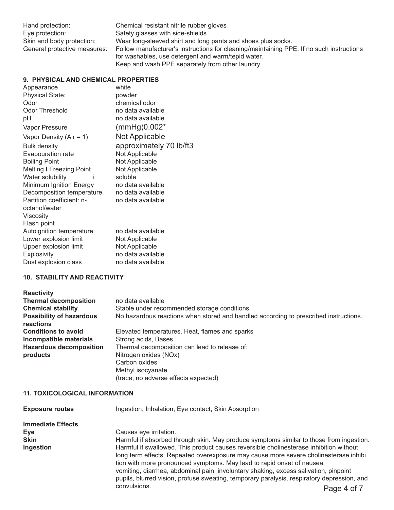Chemical resistant nitrile rubber gloves Safety glasses with side-shields Wear long-sleeved shirt and long pants and shoes plus socks. Follow manufacturer's instructions for cleaning/maintaining PPE. If no such instructions for washables, use detergent and warm/tepid water. Keep and wash PPE separately from other laundry.

# **9. PHYSICAL AND CHEMICAL PROPERTIES**

| Appearance                      | white                   |
|---------------------------------|-------------------------|
| <b>Physical State:</b>          | powder                  |
| Odor                            | chemical odor           |
| <b>Odor Threshold</b>           | no data available       |
| рH                              | no data available       |
| Vapor Pressure                  | $(mmHg)0.002*$          |
| Vapor Density (Air = $1$ )      | Not Applicable          |
| <b>Bulk density</b>             | approximately 70 lb/ft3 |
| Evapouration rate               | Not Applicable          |
| <b>Boiling Point</b>            | Not Applicable          |
| <b>Melting I Freezing Point</b> | Not Applicable          |
| Water solubility<br>i           | soluble                 |
| Minimum Ignition Energy         | no data available       |
| Decomposition temperature       | no data available       |
| Partition coefficient: n-       | no data available       |
| octanol/water                   |                         |
| Viscosity                       |                         |
| Flash point                     |                         |
| Autoignition temperature        | no data available       |
| Lower explosion limit           | Not Applicable          |
| Upper explosion limit           | Not Applicable          |
| Explosivity                     | no data available       |
| Dust explosion class            | no data available       |

# **10. STABILITY AND REACTIVITY**

| <b>Reactivity</b>                            |                                                                                      |
|----------------------------------------------|--------------------------------------------------------------------------------------|
| <b>Thermal decomposition</b>                 | no data available                                                                    |
| <b>Chemical stability</b>                    | Stable under recommended storage conditions.                                         |
| <b>Possibility of hazardous</b><br>reactions | No hazardous reactions when stored and handled according to prescribed instructions. |
| <b>Conditions to avoid</b>                   | Elevated temperatures. Heat, flames and sparks                                       |
| Incompatible materials                       | Strong acids, Bases                                                                  |
| <b>Hazardous decomposition</b>               | Thermal decomposition can lead to release of:                                        |
| products                                     | Nitrogen oxides (NOx)                                                                |
|                                              | Carbon oxides                                                                        |
|                                              | Methyl isocyanate                                                                    |
|                                              | (trace; no adverse effects expected)                                                 |

# **11. TOXICOLOGICAL INFORMATION**

| <b>Exposure routes</b>   | Ingestion, Inhalation, Eye contact, Skin Absorption                                                                                                                                                                                                                                                                                                                                                                                            |
|--------------------------|------------------------------------------------------------------------------------------------------------------------------------------------------------------------------------------------------------------------------------------------------------------------------------------------------------------------------------------------------------------------------------------------------------------------------------------------|
| <b>Immediate Effects</b> |                                                                                                                                                                                                                                                                                                                                                                                                                                                |
| Eye                      | Causes eye irritation.                                                                                                                                                                                                                                                                                                                                                                                                                         |
| <b>Skin</b>              | Harmful if absorbed through skin. May produce symptoms similar to those from ingestion.                                                                                                                                                                                                                                                                                                                                                        |
| Ingestion                | Harmful if swallowed. This product causes reversible cholinesterase inhibition without<br>long term effects. Repeated overexposure may cause more severe cholinesterase inhibi<br>tion with more pronounced symptoms. May lead to rapid onset of nausea,<br>vomiting, diarrhea, abdominal pain, involuntary shaking, excess salivation, pinpoint<br>pupils, blurred vision, profuse sweating, temporary paralysis, respiratory depression, and |
|                          | convulsions.<br>Page 4 of 7                                                                                                                                                                                                                                                                                                                                                                                                                    |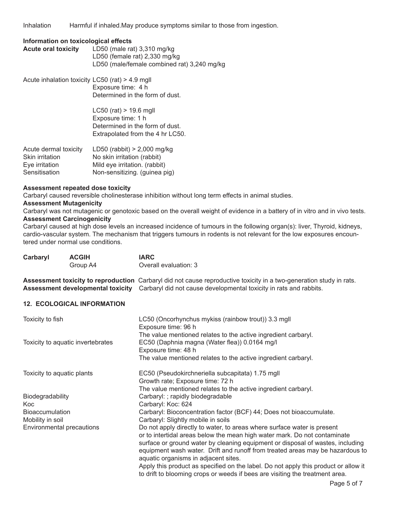Inhalation Harmful if inhaled.May produce symptoms similar to those from ingestion.

#### **Information on toxicological effects**

| <b>Acute oral toxicity</b> | LD50 (male rat) $3,310$ mg/kg               |
|----------------------------|---------------------------------------------|
|                            | LD50 (female rat) $2,330$ mg/kg             |
|                            | LD50 (male/female combined rat) 3,240 mg/kg |

Acute inhalation toxicity LC50 (rat) > 4.9 mgll Exposure time: 4 h Determined in the form of dust. LC50 (rat) > 19.6 mgll Exposure time: 1 h Determined in the form of dust. Extrapolated from the 4 hr LC50.  $A$ cute dermal toxicity LD50 (rabbit)  $> 2,000$  malk

| LD50 (rappit) > 2,000 mg/kg   |
|-------------------------------|
| No skin irritation (rabbit)   |
| Mild eye irritation. (rabbit) |
| Non-sensitizing. (guinea pig) |
|                               |

#### **Assessment repeated dose toxicity**

Carbaryl caused reversible cholinesterase inhibition without long term effects in animal studies.

#### **Assessment Mutagenicity**

Carbaryl was not mutagenic or genotoxic based on the overall weight of evidence in a battery of in vitro and in vivo tests. **Assessment Carcinogenicity** 

Carbaryl caused at high dose levels an increased incidence of tumours in the following organ(s): liver, Thyroid, kidneys, cardio-vascular system. The mechanism that triggers tumours in rodents is not relevant for the low exposures encountered under normal use conditions.

| Carbaryl                                   | <b>ACGIH</b><br>Group A4          | <b>IARC</b><br>Overall evaluation: 3                                                                                                                                                                                                                                                                                                                                                                                                                                                                                                   |
|--------------------------------------------|-----------------------------------|----------------------------------------------------------------------------------------------------------------------------------------------------------------------------------------------------------------------------------------------------------------------------------------------------------------------------------------------------------------------------------------------------------------------------------------------------------------------------------------------------------------------------------------|
|                                            |                                   | Assessment toxicity to reproduction Carbaryl did not cause reproductive toxicity in a two-generation study in rats.<br>Assessment developmental toxicity Carbaryl did not cause developmental toxicity in rats and rabbits.                                                                                                                                                                                                                                                                                                            |
|                                            | <b>12. ECOLOGICAL INFORMATION</b> |                                                                                                                                                                                                                                                                                                                                                                                                                                                                                                                                        |
| Toxicity to fish                           |                                   | LC50 (Oncorhynchus mykiss (rainbow trout)) 3.3 mgll<br>Exposure time: 96 h                                                                                                                                                                                                                                                                                                                                                                                                                                                             |
| Toxicity to aquatic invertebrates          |                                   | The value mentioned relates to the active ingredient carbaryl.<br>EC50 (Daphnia magna (Water flea)) 0.0164 mg/l<br>Exposure time: 48 h<br>The value mentioned relates to the active ingredient carbaryl.                                                                                                                                                                                                                                                                                                                               |
| Toxicity to aquatic plants                 |                                   | EC50 (Pseudokirchneriella subcapitata) 1.75 mgll<br>Growth rate; Exposure time: 72 h<br>The value mentioned relates to the active ingredient carbaryl.                                                                                                                                                                                                                                                                                                                                                                                 |
| Biodegradability<br>Koc                    |                                   | Carbaryl: ; rapidly biodegradable<br>Carbaryl: Koc: 624                                                                                                                                                                                                                                                                                                                                                                                                                                                                                |
| <b>Bioaccumulation</b><br>Mobility in soil |                                   | Carbaryl: Bioconcentration factor (BCF) 44; Does not bioaccumulate.<br>Carbaryl: Slightly mobile in soils                                                                                                                                                                                                                                                                                                                                                                                                                              |
|                                            | Environmental precautions         | Do not apply directly to water, to areas where surface water is present<br>or to intertidal areas below the mean high water mark. Do not contaminate<br>surface or ground water by cleaning equipment or disposal of wastes, including<br>equipment wash water. Drift and runoff from treated areas may be hazardous to<br>aquatic organisms in adjacent sites.<br>Apply this product as specified on the label. Do not apply this product or allow it<br>to drift to blooming crops or weeds if bees are visiting the treatment area. |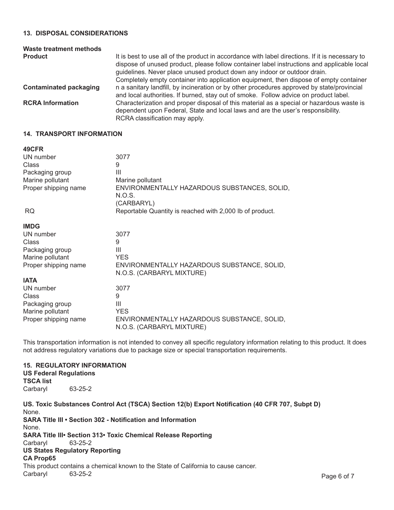### **13. DISPOSAL CONSIDERATIONS**

| Waste treatment methods       |                                                                                                                                                                                                                                                                                                                                                                     |
|-------------------------------|---------------------------------------------------------------------------------------------------------------------------------------------------------------------------------------------------------------------------------------------------------------------------------------------------------------------------------------------------------------------|
| <b>Product</b>                | It is best to use all of the product in accordance with label directions. If it is necessary to<br>dispose of unused product, please follow container label instructions and applicable local<br>guidelines. Never place unused product down any indoor or outdoor drain.<br>Completely empty container into application equipment, then dispose of empty container |
| <b>Contaminated packaging</b> | n a sanitary landfill, by incineration or by other procedures approved by state/provincial<br>and local authorities. If burned, stay out of smoke. Follow advice on product label.                                                                                                                                                                                  |
| <b>RCRA Information</b>       | Characterization and proper disposal of this material as a special or hazardous waste is<br>dependent upon Federal, State and local laws and are the user's responsibility.<br>RCRA classification may apply.                                                                                                                                                       |

#### **14. TRANSPORT INFORMATION**

| 49CFR                |                                                                          |
|----------------------|--------------------------------------------------------------------------|
| UN number            | 3077                                                                     |
| Class                | 9                                                                        |
| Packaging group      | Ш                                                                        |
| Marine pollutant     | Marine pollutant                                                         |
| Proper shipping name | ENVIRONMENTALLY HAZARDOUS SUBSTANCES, SOLID,<br>N.O.S.<br>(CARBARYL)     |
| <b>RQ</b>            | Reportable Quantity is reached with 2,000 lb of product.                 |
| <b>IMDG</b>          |                                                                          |
| UN number            | 3077                                                                     |
| Class                | 9                                                                        |
| Packaging group      | Ш                                                                        |
| Marine pollutant     | <b>YES</b>                                                               |
| Proper shipping name | ENVIRONMENTALLY HAZARDOUS SUBSTANCE, SOLID,<br>N.O.S. (CARBARYL MIXTURE) |
| <b>IATA</b>          |                                                                          |
| UN number            | 3077                                                                     |
| Class                | 9                                                                        |
| Packaging group      | Ш                                                                        |
| Marine pollutant     | <b>YES</b>                                                               |
| Proper shipping name | ENVIRONMENTALLY HAZARDOUS SUBSTANCE, SOLID,<br>N.O.S. (CARBARYL MIXTURE) |

This transportation information is not intended to convey all specific regulatory information relating to this product. It does not address regulatory variations due to package size or special transportation requirements.

## **15. REGULATORY INFORMATION US Federal Regulations TSCA list**  Carbaryl 63-25-2

**US. Toxic Substances Control Act (TSCA) Section 12(b) Export Notification (40 CFR 707, Subpt D)**  None. **SARA Title III • Section 302 - Notification and Information** None. **SARA Title III• Section 313• Toxic Chemical Release Reporting Carbaryl 63-25-2** 63-25-2 **US States Regulatory Reporting CA Prop65**  This product contains a chemical known to the State of California to cause cancer. Carbaryl 63-25-2 **Page 6 of 7**